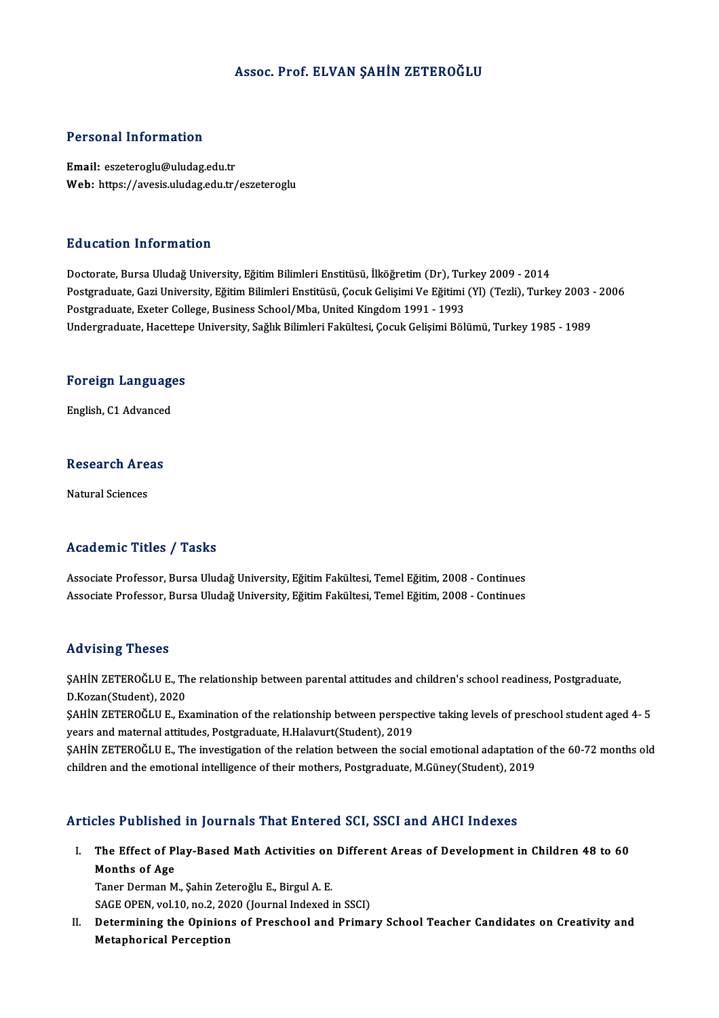### Assoc. Prof. ELVAN ŞAHİN ZETEROĞLU

#### Personal Information

Email: eszeteroglu@uludag.edu.tr Web: https://avesis.uludag.edu.tr/eszeteroglu

#### Education Information

Doctorate, Bursa Uludağ University, Eğitim Bilimleri Enstitüsü, İlköğretim (Dr), Turkey 2009 - 2014 Postgraduate, Gazi University, Eğitim Bilimleri Enstitüsü, Çocuk Gelişimi Ve Eğitimi (Yl) (Tezli), Turkey 2003 - 2006 Postgraduate, Exeter College, Business School/Mba, United Kingdom 1991 - 1993 Undergraduate, Hacettepe University, Sağlık Bilimleri Fakültesi, Çocuk Gelişimi Bölümü, Turkey 1985 - 1989

## <sub>ondergraduate, nacettep</sub><br>Foreign Languages F<mark>oreign Languag</mark>e<br>English, C1 Advanced

## engusn, C1 Advanced<br>Research Areas <mark>Research Are</mark><br>Natural Sciences

# Natural Sciences<br>Academic Titles / Tasks

Academic Titles / Tasks<br>Associate Professor, Bursa Uludağ University, Eğitim Fakültesi, Temel Eğitim, 2008 - Continues<br>Associate Professor, Bursa Uludağ University, Eğitim Fakültesi, Temel Eğitim, 2008 - Continues 11000 SINTE 11000 7<br>Associate Professor, Bursa Uludağ University, Eğitim Fakültesi, Temel Eğitim, 2008 - Continues<br>Associate Professor, Bursa Uludağ University, Eğitim Fakültesi, Temel Eğitim, 2008 - Continues Associate Professor, Bursa Uludağ University, Eğitim Fakültesi, Temel Eğitim, 2008 - Continues<br>Advising Theses

Advising Theses<br>ŞAHİN ZETEROĞLU E., The relationship between parental attitudes and children's school readiness, Postgraduate,<br>P. Keren(Student), 2020 TRAVISHIS TRESES<br>SAHİN ZETEROĞLU E., Th<br>D.Kozan(Student), 2020<br>SAHİN ZETEROĞLU E. E. ŞAHİN ZETEROĞLU E., The relationship between parental attitudes and children's school readiness, Postgraduate,<br>D.Kozan(Student), 2020<br>ŞAHİN ZETEROĞLU E., Examination of the relationship between perspective taking levels of

D.Kozan(Student), 2020<br>ŞAHİN ZETEROĞLU E., Examination of the relationship between perspec<br>years and maternal attitudes, Postgraduate, H.Halavurt(Student), 2019<br>SAHİN ZETEROĞLU E...The investigation of the relation between ŞAHİN ZETEROĞLU E., Examination of the relationship between perspective taking levels of preschool student aged 4- 5<br>years and maternal attitudes, Postgraduate, H.Halavurt(Student), 2019<br>ŞAHİN ZETEROĞLU E., The investigati

years and maternal attitudes, Postgraduate, H.Halavurt(Student), 2019<br>\$AHİN ZETEROĞLU E., The investigation of the relation between the social emotional adaptation of the 60-72 months old<br>children and the emotional intelli

### Articles Published in Journals That Entered SCI, SSCI and AHCI Indexes

rticles Published in Journals That Entered SCI, SSCI and AHCI Indexes<br>I. The Effect of Play-Based Math Activities on Different Areas of Development in Children 48 to 60<br>Months of Age months of Age<br>Months of Age<br>Tanar Darman M Months of Age<br>Taner Derman M., Şahin Zeteroğlu E., Birgul A. E. Months of Age<br>Taner Derman M., Şahin Zeteroğlu E., Birgul A. E.<br>SAGE OPEN, vol.10, no.2, 2020 (Journal Indexed in SSCI)<br>Determining the Opinions of Preschool and Primer

II. Determining the Opinions of Preschool and Primary School Teacher Candidates on Creativity and<br>Metaphorical Perception SAGE OPEN, vol.10, no.2, 20<br>Determining the Opinion<br>Metaphorical Perception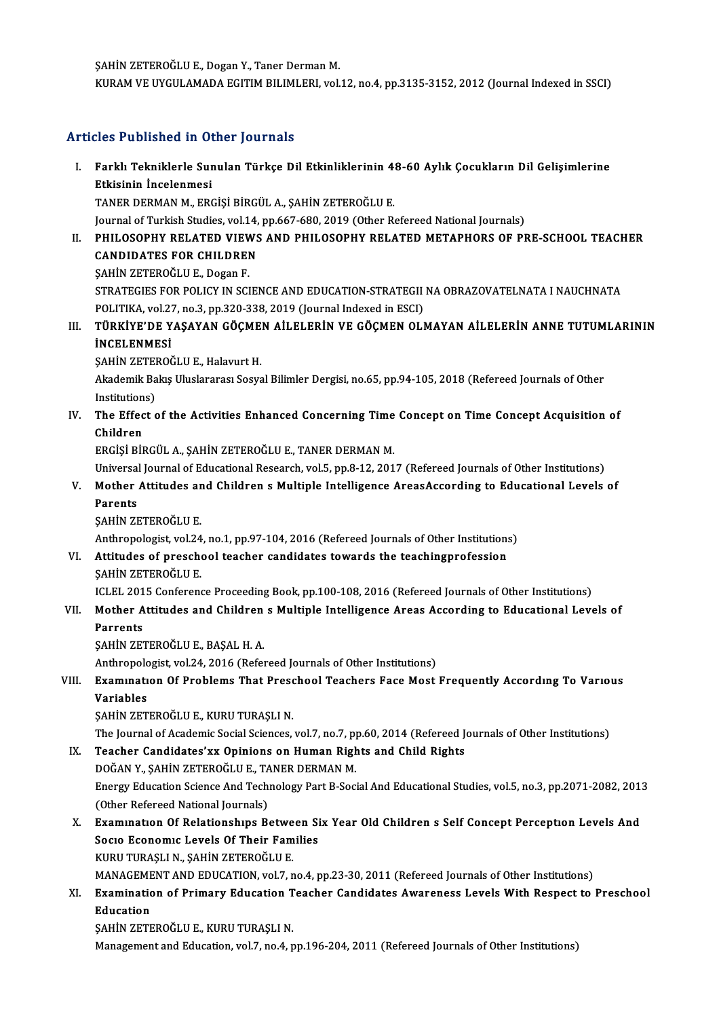ŞAHİN ZETEROĞLU E., Dogan Y., Taner Derman M.

KURAM VE UYGULAMADA EGITIM BILIMLERI, vol.12, no.4, pp.3135-3152, 2012 (Journal Indexed in SSCI)

### Articles Published in Other Journals

rticles Published in Other Journals<br>I. Farklı Tekniklerle Sunulan Türkçe Dil Etkinliklerinin 48-60 Aylık Çocukların Dil Gelişimlerine<br>Rikisinin İncolanmasi Etkisinin İncelenmesi<br>Etkisinin İncelenmesi<br>TANEP DEPMAN M. ERG Etkisinin İncelenmesi<br>TANER DERMAN M., ERGİŞİ BİRGÜL A., ŞAHİN ZETEROĞLU E. Etkisinin İncelenmesi<br>TANER DERMAN M., ERGİŞİ BİRGÜL A., ŞAHİN ZETEROĞLU E.<br>Journal of Turkish Studies, vol.14, pp.667-680, 2019 (Other Refereed National Journals)<br>PHIL OSORHY RELATED VIEWS AND RHILOSORHY RELATED METARHORS II. PHILOSOPHY RELATED VIEWS AND PHILOSOPHY RELATED METAPHORS OF PRE-SCHOOL TEACHER<br>CANDIDATES FOR CHILDREN **Journal of Turkish Studies, vol.14,<br>PHILOSOPHY RELATED VIEWS<br>CANDIDATES FOR CHILDREN<br>SAHIN ZETEROČI U E. DOSOD E** SAHİN ZETEROĞLU E., Dogan F. CANDIDATES FOR CHILDREN<br>ŞAHİN ZETEROĞLU E., Dogan F.<br>STRATEGIES FOR POLICY IN SCIENCE AND EDUCATION-STRATEGII NA OBRAZOVATELNATA I NAUCHNATA<br>POLITIKA XRİ 27, Do 3, DD 320, 229, 2010 (Journal Indoved in ESCI) SAHİN ZETEROĞLU E., Dogan F.<br>STRATEGIES FOR POLICY IN SCIENCE AND EDUCATION-STRATEGII<br>POLITIKA, vol.27, no.3, pp.320-338, 2019 (Journal Indexed in ESCI)<br>TÜRKİVE'DE VASAVAN GÖCMEN AİLELERİN VE GÖCMEN OLI STRATEGIES FOR POLICY IN SCIENCE AND EDUCATION-STRATEGII NA OBRAZOVATELNATA I NAUCHNATA<br>POLITIKA, vol.27, no.3, pp.320-338, 2019 (Journal Indexed in ESCI)<br>III. TÜRKİYE'DE YAŞAYAN GÖÇMEN AİLELERİN VE GÖÇMEN OLMAYAN AİLELERİ POLITIKA, vol.27<br>**TÜRKİYE'DE Y<br>İNCELENMESİ**<br>SAHİN ZETEROČ TÜRKİYE'DE YAŞAYAN GÖÇME<br>İNCELENMESİ<br>ŞAHİN ZETEROĞLU E., Halavurt H.<br>Alademil: Balas Uluslaranası Sesve İNCELENMESİ<br>ŞAHİN ZETEROĞLU E., Halavurt H.<br>Akademik Bakış Uluslararası Sosyal Bilimler Dergisi, no.65, pp.94-105, 2018 (Refereed Journals of Other<br>Institutions) SAHİN ZETEROĞLU E., Halavurt H. Akademik Bakış Uluslararası Sosyal Bilimler Dergisi, no.65, pp.94-105, 2018 (Refereed Journals of Other<br>Institutions)<br>IV. The Effect of the Activities Enhanced Concerning Time Concept on Time Concept Acquisition of<br>Childre Institution<br>The Effec<br>Children<br>EPCisi Pit Children<br>ERGİŞİ BİRGÜL A., ŞAHİN ZETEROĞLU E., TANER DERMAN M. Children<br>ERGİŞİ BİRGÜL A., ŞAHİN ZETEROĞLU E., TANER DERMAN M.<br>Universal Journal of Educational Research, vol.5, pp.8-12, 2017 (Refereed Journals of Other Institutions)<br>Mather Attitudes and Children s Multiple Intelligence ERGIȘI BIRGÜL A., ȘAHIN ZETEROĞLU E., TANER DERMAN M.<br>Universal Journal of Educational Research, vol.5, pp.8-12, 2017 (Refereed Journals of Other Institutions)<br>V. Mother Attitudes and Children s Multiple Intelligence Areas Universal<br>Mother<br>Parents<br>SAHIN 71 V. Mother Attitudes and Children s Multiple Intelligence AreasAccording to Educational Levels of<br>Parents<br>ŞAHİN ZETEROĞLU E. Anthropologist, vol.24, no.1, pp.97-104, 2016 (Refereed Journals of Other Institutions) SAHİN ZETEROĞLU E.<br>Anthropologist, vol.24, no.1, pp.97-104, 2016 (Refereed Journals of Other Institutions<br>VI. Attitudes of preschool teacher candidates towards the teachingprofession<br>SAHİN ZETEROĞLU E Anthropologist, vol.24<br><mark>Attitudes of presch</mark>e<br>ŞAHİN ZETEROĞLU E.<br>ICLEL 2015 Conferenc Attitudes of preschool teacher candidates towards the teachingprofession<br>SAHIN ZETEROĞLU E.<br>ICLEL 2015 Conference Proceeding Book, pp.100-108, 2016 (Refereed Journals of Other Institutions)<br>Mather Attitudes and Children s SAHIN ZETEROĞLU E.<br>ICLEL 2015 Conference Proceeding Book, pp.100-108, 2016 (Refereed Journals of Other Institutions)<br>VII. Mother Attitudes and Children s Multiple Intelligence Areas According to Educational Levels of<br>Parre **ICLEL 201<br>Mother A<br>Parrents**<br>SAHIN 7E ŞAHİN ZETEROĞLU E., BAŞAL H. A. Anthropologist, vol.24, 2016 (Refereed Journals of Other Institutions) ŞAHİN ZETEROĞLU E., BAŞAL H. A.<br>Anthropologist, vol.24, 2016 (Refereed Journals of Other Institutions)<br>VIII. Examınatıon Of Problems That Preschool Teachers Face Most Frequently According To Various<br>Variables Anthropol<mark>c</mark><br>**Examinati**<br>Variables<br>sauin zer Examınatıon Of Problems That Presc<br>Variables<br>ŞAHİN ZETEROĞLU E., KURU TURAŞLI N.<br>The Journal of Asademis Sosial Ssienses Variables<br>ŞAHİN ZETEROĞLU E., KURU TURAŞLI N.<br>The Journal of Academic Social Sciences, vol.7, no.7, pp.60, 2014 (Refereed Journals of Other Institutions)<br>Teasher Candidates'uy Opinions en Human Bishts and Child Bishts. SAHİN ZETEROĞLU E., KURU TURAŞLI N.<br>The Journal of Academic Social Sciences, vol.7, no.7, pp.60, 2014 (Refereed J.<br>IX. Teacher Candidates'xx Opinions on Human Rights and Child Rights<br>DOČAN V. SAHİN ZETEROĞLU E. TANER DERMA The Journal of Academic Social Sciences, vol.7, no.7, p<sub>l</sub><br>Teacher Candidates'xx Opinions on Human Righ<br>DOĞAN Y., ŞAHİN ZETEROĞLU E., TANER DERMAN M.<br>Energy Education Science And Technology Pert P. Soci IX. Teacher Candidates'xx Opinions on Human Rights and Child Rights<br>DOĞAN Y., ŞAHİN ZETEROĞLU E., TANER DERMAN M.<br>Energy Education Science And Technology Part B-Social And Educational Studies, vol.5, no.3, pp.2071-2082, 20 DOĞAN Y., ŞAHİN ZETEROĞLU E., TANER DERMAN M. Energy Education Science And Technology Part B-Social And Educational Studies, vol.5, no.3, pp.2071-2082, 201.<br>(Other Refereed National Journals)<br>X. Examination Of Relationships Between Six Year Old Children s Self Concept (Other Refereed National Journals)<br>Examination Of Relationships Between Si<br>Socio Economic Levels Of Their Families<br>KURU TURASLIN, SAHIN ZETEROČLU E Examınatıon Of Relationships Betwe<br>Socio Economic Levels Of Their Fam<br>KURU TURAŞLI N., ŞAHİN ZETEROĞLU E.<br>MANACEMENT AND EDUCATION vel 7-r Socio Economic Levels Of Their Families<br>KURU TURAȘLI N., ȘAHİN ZETEROĞLU E.<br>MANAGEMENT AND EDUCATION, vol.7, no.4, pp.23-30, 2011 (Refereed Journals of Other Institutions)<br>Evamination of Primary Education Teacher Candidate KURU TURAȘLI N., ȘAHİN ZETEROĞLU E.<br>MANAGEMENT AND EDUCATION, vol.7, no.4, pp.23-30, 2011 (Refereed Journals of Other Institutions)<br>XI. Examination of Primary Education Teacher Candidates Awareness Levels With Respect MANAGEME<br>Examinatic<br>Education<br>SAHIN ZETE Examination of Primary Education T<br>Education<br>ŞAHİN ZETEROĞLU E., KURU TURAŞLI N.<br>Managamant and Education val 7 no.4 r Education<br>ŞAHİN ZETEROĞLU E., KURU TURAŞLI N.<br>Management and Education, vol.7, no.4, pp.196-204, 2011 (Refereed Journals of Other Institutions)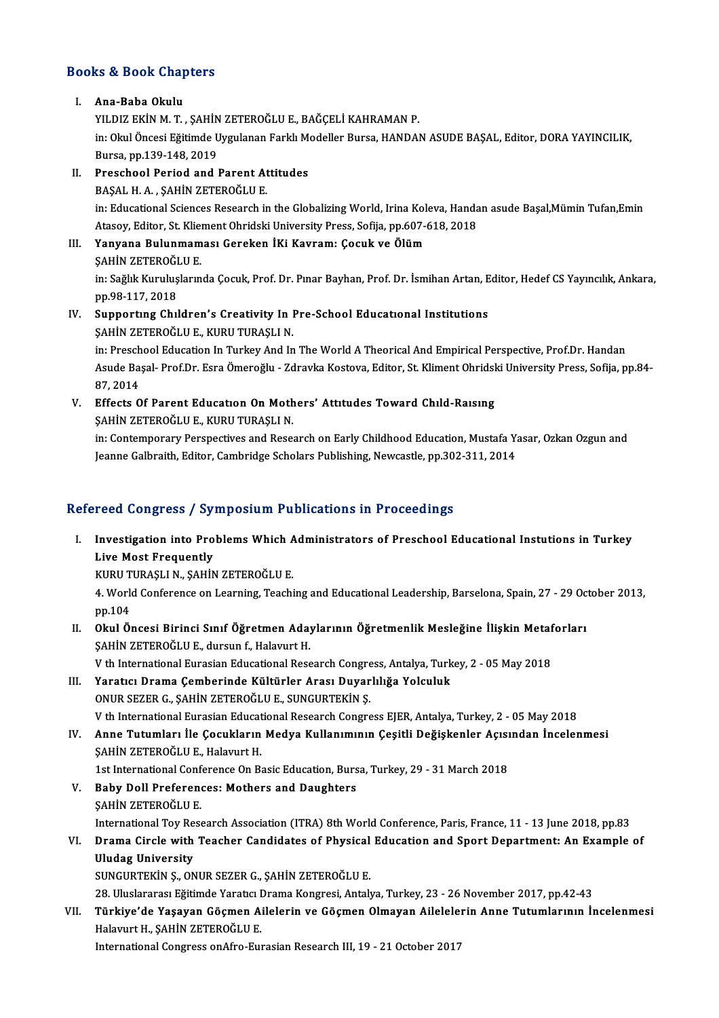## Books&Book Chapters OOks & Book Chap<br>I. Ana-Baba Okulu<br>I. Ana-Baba Okulu

YE E BUDA GALI<br>Ana-Baba Okulu<br>YILDIZ EKİN M. T. , ŞAHİN ZETEROĞLU E., BAĞÇELİ KAHRAMAN P.<br>in: Olul Öngesi Fğitimdə Uyuylanan Farklı Modellar Bursa HANDAl Ana-Baba Okulu<br>YILDIZ EKİN M. T. , ŞAHİN ZETEROĞLU E., BAĞÇELİ KAHRAMAN P.<br>İn: Okul Öncesi Eğitimde Uygulanan Farklı Modeller Bursa, HANDAN ASUDE BAŞAL, Editor, DORA YAYINCILIK,<br>Bursa pp.129,148, 2019. YILDIZ EKİN M. T. , ŞAHİN<br>in: Okul Öncesi Eğitimde U<br>Bursa, pp.139-148, 2019<br>Pressbool Beried and l in: Okul Öncesi Eğitimde Uygulanan Farklı M.<br>Bursa, pp.139-148, 2019<br>II. Preschool Period and Parent Attitudes

## Bursa, pp.139-148, 2019<br>II. Preschool Period and Parent Attitudes<br>BAŞAL H. A. , ŞAHİN ZETEROĞLU E.

Preschool Period and Parent Attitudes<br>BAŞAL H. A. , ŞAHİN ZETEROĞLU E.<br>in: Educational Sciences Research in the Globalizing World, Irina Koleva, Handan asude Başal,Mümin Tufan,Emin<br>Atasay, Editon St. Kliement Obridaki Univ BAŞAL H. A. , ŞAHİN ZETEROĞLU E.<br>in: Educational Sciences Research in the Globalizing World, Irina Koleva, Handa<br>Atasoy, Editor, St. Kliement Ohridski University Press, Sofija, pp.607-618, 2018<br>Yanyana, Bulunmaması, Caroka in: Educational Sciences Research in the Globalizing World, Irina Kol<br>Atasoy, Editor, St. Kliement Ohridski University Press, Sofija, pp.607-4<br>III. Yanyana Bulunmaması Gereken İKi Kavram: Çocuk ve Ölüm<br>SAHİN ZETEROĞLU E Atasoy, Editor, St. Klie<mark>:</mark><br>Yanyana Bulunmam<br>ŞAHİN ZETEROĞLU E.<br>in: Sağlık Kurulucların

ŞAHİN ZETEROĞLU E.<br>in: Sağlık Kuruluşlarında Çocuk, Prof. Dr. Pınar Bayhan, Prof. Dr. İsmihan Artan, Editor, Hedef CS Yayıncılık, Ankara, pp.98-117,2018 in: Sağlık Kuruluşlarında Çocuk, Prof. Dr. Pınar Bayhan, Prof. Dr. İsmihan Artan, E<br>pp.98-117, 2018<br>IV. Supporting Children's Creativity In Pre-School Educational Institutions<br>sAHIN ZETEROĞLU E. KURU TURASLI N pp.98-117, 2018<br>Supporting Children's Creativity In I<br>ŞAHİN ZETEROĞLU E., KURU TURAŞLI N.<br>in: Pressbool Education In Turkey And In

Supporting Children's Creativity In Pre-School Educational Institutions<br>SAHİN ZETEROĞLU E., KURU TURAŞLI N.<br>in: Preschool Education In Turkey And In The World A Theorical And Empirical Perspective, Prof.Dr. Handan<br>Asude Pe ŞAHİN ZETEROĞLU E., KURU TURAŞLI N.<br>in: Preschool Education In Turkey And In The World A Theorical And Empirical Perspective, Prof.Dr. Handan<br>Asude Başal- Prof.Dr. Esra Ömeroğlu - Zdravka Kostova, Editor, St. Kliment Ohrid in: Presch<br>Asude Ba<br>87, 2014<br>Effects O Asude Başal- Prof.Dr. Esra Ömeroğlu - Zdravka Kostova, Editor, St. Kliment Ohridsk<br>87, 2014<br>V. Effects Of Parent Education On Mothers' Attıtudes Toward Chıld-Raısıng<br>SAUIN ZETEROĞLU E. KURU TURASLIN

87, 2014<br>Effects Of Parent Education On Moth<br>ŞAHİN ZETEROĞLU E., KURU TURAŞLI N.<br>in: Contemperery Perspectives and Pesse

\$AHİN ZETEROĞLU E., KURU TURAŞLI N.<br>in: Contemporary Perspectives and Research on Early Childhood Education, Mustafa Yasar, Ozkan Ozgun and Jeanne Galbraith, Editor, Cambridge Scholars Publishing, Newcastle, pp.302-311, 2014

### Refereed Congress / Symposium Publications in Proceedings

efereed Congress / Symposium Publications in Proceedings<br>I. Investigation into Problems Which Administrators of Preschool Educational Instutions in Turkey Live Congress 7 by:<br>Investigation into Pro<br>Live Most Frequently<br>VIDU TURASLIM SAUD Investigation into Problems Which A<br>Live Most Frequently<br>KURU TURAŞLI N., ŞAHİN ZETEROĞLU E.<br>4. World Conference en Learning Teachi

Live Most Frequently<br>KURU TURAŞLI N., ŞAHİN ZETEROĞLU E.<br>4. World Conference on Learning, Teaching and Educational Leadership, Barselona, Spain, 27 - 29 October 2013,<br>pp.104 KURU T<br>4. Work<br>pp.104<br>Okul Ö 1. World Conference on Learning, Teaching and Educational Leadership, Barselona, Spain, 27 - 29 Oc<br>pp.104<br>II. Okul Öncesi Birinci Sınıf Öğretmen Adaylarının Öğretmenlik Mesleğine İlişkin Metaforları<br>SAHİN ZETEROĞLU E. dura

- pp.104<br>Okul Öncesi Birinci Sınıf Öğretmen Aday<br>ŞAHİN ZETEROĞLU E., dursun f., Halavurt H.<br>V.th International Eurasian Educational Bess Okul Öncesi Birinci Sınıf Öğretmen Adaylarının Öğretmenlik Mesleğine İlişkin Metaf<br>ŞAHİN ZETEROĞLU E., dursun f., Halavurt H.<br>V th International Eurasian Educational Research Congress, Antalya, Turkey, 2 - 05 May 2018<br>Yara
- SAHİN ZETEROĞLU E., dursun f., Halavurt H.<br>V th International Eurasian Educational Research Congress, Antalya, Turk<br>III. Yaratıcı Drama Çemberinde Kültürler Arası Duyarlılığa Yolculuk<br>ONUP SEZER C. SAHİN ZETEROĞLU E. SUNCU V th International Eurasian Educational Research Congre<br>Yaratıcı Drama Çemberinde Kültürler Arası Duyar<br>ONUR SEZER G., ŞAHİN ZETEROĞLU E., SUNGURTEKİN Ş.<br>V th International Eurasian Educational Besserek Congre ONUR SEZER G., ŞAHİN ZETEROĞLU E., SUNGURTEKİN Ş.<br>V th International Eurasian Educational Research Congress EJER, Antalya, Turkey, 2 - 05 May 2018
- ONUR SEZER G., ŞAHİN ZETEROĞLU E., SUNGURTEKİN Ş.<br>V th International Eurasian Educational Research Congress EJER, Antalya, Turkey, 2 05 May 2018<br>IV. Anne Tutumları İle Çocukların Medya Kullanımının Çeşitli Değişkenle V th International Eurasian Educat<br>Anne Tutumları İle Çocukların<br>ŞAHİN ZETEROĞLU E., Halavurt H.<br>1st International Conference On B. Anne Tutumları İle Çocukların Medya Kullanımının Çeşitli Değişkenler Açısı<br>ŞAHİN ZETEROĞLU E., Halavurt H.<br>1st International Conference On Basic Education, Bursa, Turkey, 29 - 31 March 2018<br>Bahy Dall Brafanonses: Mathars a SAHIN ZETEROĞLU E., Halavurt H.<br>1st International Conference On Basic Education, Burs<br>V. Baby Doll Preferences: Mothers and Daughters<br>SAHIN ZETEROĞLU E
- 1st International Conf<br>Baby Doll Preference<br>SAHİN ZETEROĞLU E.<br>International Toy Bess Baby Doll Preferences: Mothers and Daughters<br>SAHİN ZETEROĞLU E.<br>International Toy Research Association (ITRA) 8th World Conference, Paris, France, 11 - 13 June 2018, pp.83<br>Drama Girela with Teacher Condidates of Physical E
- SAHIN ZETEROĞLU E.<br>International Toy Research Association (ITRA) 8th World Conference, Paris, France, 11 13 June 2018, pp.83<br>VI. Drama Circle with Teacher Candidates of Physical Education and Sport Department: An Exa International Toy Re<br>Drama Circle with<br>Uludag University<br>SUNCUPTEKIN S. ON Uludag University<br>SUNGURTEKİN Ş., ONUR SEZER G., ŞAHİN ZETEROĞLU E.<br>28. Uluslararası Eğitimde Yaratıcı Drama Kongresi, Antalya, Turkey, 23 - 26 November 2017, pp.42-43<br>Türkiye'de Yasayan Gösman Ailelarin ve Gösman Olmayan

SUNGURTEKİN Ş., ONUR SEZER G., ŞAHİN ZETEROĞLU E.

SUNGURTEKİN Ş., ONUR SEZER G., ŞAHİN ZETEROĞLU E.<br>28. Uluslararası Eğitimde Yaratıcı Drama Kongresi, Antalya, Turkey, 23 - 26 November 2017, pp.42-43<br>28. VII. Türkiye'de Yaşayan Göçmen Ailelerin ve Göçmen Olmayan Ailel 28. Uluslararası Eğitimde Yaratıcı I<br>Türkiye'de Yaşayan Göçmen A<br>Halavurt H., ŞAHİN ZETEROĞLU E.<br>International Congress on Afre Eur Türkiye'de Yaşayan Göçmen Ailelerin ve Göçmen Olmayan Ailelele:<br>Halavurt H., ŞAHİN ZETEROĞLU E.<br>International Congress onAfro-Eurasian Research III, 19 - 21 October 2017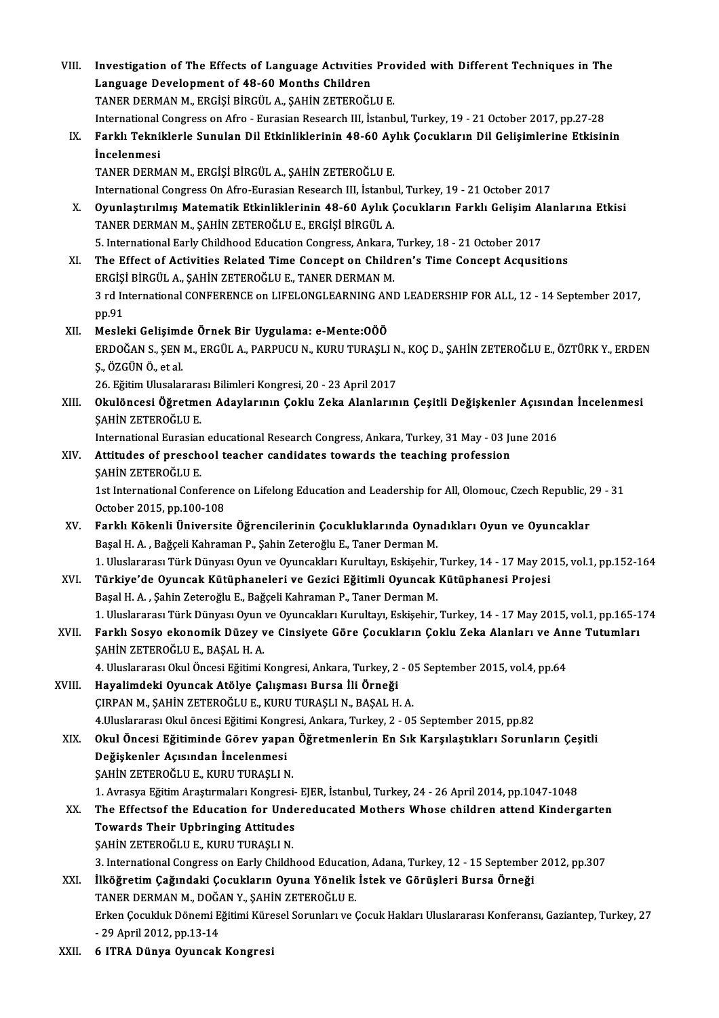| VIII.  | Investigation of The Effects of Language Activities Provided with Different Techniques in The<br>Language Development of 48-60 Months Children |
|--------|------------------------------------------------------------------------------------------------------------------------------------------------|
|        | TANER DERMAN M., ERGIȘI BIRGÜL A., ȘAHIN ZETEROĞLU E.                                                                                          |
|        | International Congress on Afro - Eurasian Research III, İstanbul, Turkey, 19 - 21 October 2017, pp.27-28                                       |
| IX.    | Farklı Tekniklerle Sunulan Dil Etkinliklerinin 48-60 Aylık Çocukların Dil Gelişimlerine Etkisinin                                              |
|        | <i>incelenmesi</i>                                                                                                                             |
|        | TANER DERMAN M., ERGİŞİ BİRGÜL A., ŞAHİN ZETEROĞLU E.                                                                                          |
|        | International Congress On Afro-Eurasian Research III, İstanbul, Turkey, 19 - 21 October 2017                                                   |
| Х.     | Oyunlaştırılmış Matematik Etkinliklerinin 48-60 Aylık Çocukların Farklı Gelişim Alanlarına Etkisi                                              |
|        | TANER DERMAN M., ŞAHİN ZETEROĞLU E., ERGİŞİ BİRGÜL A.                                                                                          |
|        | 5. International Early Childhood Education Congress, Ankara, Turkey, 18 - 21 October 2017                                                      |
| XI.    | The Effect of Activities Related Time Concept on Children's Time Concept Acqusitions                                                           |
|        | ERGIȘI BIRGÜL A., ȘAHIN ZETEROĞLU E., TANER DERMAN M.                                                                                          |
|        | 3 rd International CONFERENCE on LIFELONGLEARNING AND LEADERSHIP FOR ALL, 12 - 14 September 2017,                                              |
|        | pp.91                                                                                                                                          |
| XII.   | Mesleki Gelişimde Örnek Bir Uygulama: e-Mente: 000                                                                                             |
|        | ERDOĞAN S., ŞEN M., ERGÜL A., PARPUCU N., KURU TURAŞLI N., KOÇ D., ŞAHİN ZETEROĞLU E., ÖZTÜRK Y., ERDEN                                        |
|        | Ş, ÖZGÜN Ö, et al.                                                                                                                             |
|        | 26. Eğitim Ulusalararası Bilimleri Kongresi, 20 - 23 April 2017                                                                                |
| XIII.  | Okulöncesi Öğretmen Adaylarının Çoklu Zeka Alanlarının Çeşitli Değişkenler Açısından İncelenmesi                                               |
|        | ŞAHİN ZETEROĞLU E.                                                                                                                             |
|        | International Eurasian educational Research Congress, Ankara, Turkey, 31 May - 03 June 2016                                                    |
| XIV.   | Attitudes of preschool teacher candidates towards the teaching profession                                                                      |
|        | ŞAHİN ZETEROĞLU E.                                                                                                                             |
|        | 1st International Conference on Lifelong Education and Leadership for All, Olomouc, Czech Republic, 29 - 31                                    |
|        | October 2015, pp 100-108                                                                                                                       |
| XV.    | Farklı Kökenli Üniversite Öğrencilerinin Çocukluklarında Oynadıkları Oyun ve Oyuncaklar                                                        |
|        | Başal H. A., Bağçeli Kahraman P., Şahin Zeteroğlu E., Taner Derman M.                                                                          |
|        | 1. Uluslararası Türk Dünyası Oyun ve Oyuncakları Kurultayı, Eskişehir, Turkey, 14 - 17 May 2015, vol.1, pp.152-164                             |
| XVI.   | Türkiye'de Oyuncak Kütüphaneleri ve Gezici Eğitimli Oyuncak Kütüphanesi Projesi                                                                |
|        | Başal H. A., Şahin Zeteroğlu E., Bağçeli Kahraman P., Taner Derman M.                                                                          |
|        | 1. Uluslararası Türk Dünyası Oyun ve Oyuncakları Kurultayı, Eskişehir, Turkey, 14 - 17 May 2015, vol.1, pp.165-174                             |
| XVII.  | Farklı Sosyo ekonomik Düzey ve Cinsiyete Göre Çocukların Çoklu Zeka Alanları ve Anne Tutumları                                                 |
|        | ŞAHİN ZETEROĞLU E., BAŞAL H. A.<br>4. Uluslararası Okul Öncesi Eğitimi Kongresi, Ankara, Turkey, 2 - 05 September 2015, vol.4, pp.64           |
| XVIII. | Hayalimdeki Oyuncak Atölye Çalışması Bursa İli Örneği                                                                                          |
|        | ÇIRPAN M., ŞAHİN ZETEROĞLU E., KURU TURAŞLI N., BAŞAL H. A.                                                                                    |
|        | 4. Uluslararası Okul öncesi Eğitimi Kongresi, Ankara, Turkey, 2 - 05 September 2015, pp.82                                                     |
| XIX.   | Okul Öncesi Eğitiminde Görev yapan Öğretmenlerin En Sık Karşılaştıkları Sorunların Çeşitli                                                     |
|        | Değişkenler Açısından İncelenmesi                                                                                                              |
|        | ŞAHİN ZETEROĞLU E., KURU TURAŞLI N.                                                                                                            |
|        | 1. Avrasya Eğitim Araştırmaları Kongresi- EJER, İstanbul, Turkey, 24 - 26 April 2014, pp.1047-1048                                             |
| XX.    | The Effectsof the Education for Undereducated Mothers Whose children attend Kindergarten                                                       |
|        | <b>Towards Their Upbringing Attitudes</b>                                                                                                      |
|        | ŞAHİN ZETEROĞLU E., KURU TURAŞLI N.                                                                                                            |
|        | 3. International Congress on Early Childhood Education, Adana, Turkey, 12 - 15 September 2012, pp.307                                          |
| XXI.   | İlköğretim Çağındaki Çocukların Oyuna Yönelik İstek ve Görüşleri Bursa Örneği                                                                  |
|        | TANER DERMAN M., DOĞAN Y., ŞAHİN ZETEROĞLU E.                                                                                                  |
|        | Erken Çocukluk Dönemi Eğitimi Küresel Sorunları ve Çocuk Hakları Uluslararası Konferansı, Gaziantep, Turkey, 27                                |
|        | - 29 April 2012, pp 13-14                                                                                                                      |
| XXII.  | 6 ITRA Dünya Oyuncak Kongresi                                                                                                                  |
|        |                                                                                                                                                |